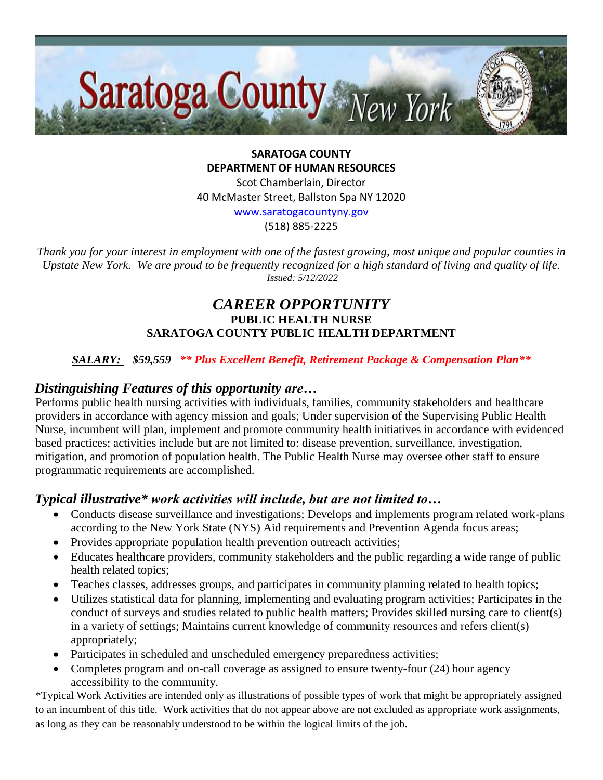

**SARATOGA COUNTY DEPARTMENT OF HUMAN RESOURCES**

Scot Chamberlain, Director 40 McMaster Street, Ballston Spa NY 12020

[www.saratogacountyny.gov](http://www.saratogacountyny.gov/)

(518) 885-2225

*Thank you for your interest in employment with one of the fastest growing, most unique and popular counties in Upstate New York. We are proud to be frequently recognized for a high standard of living and quality of life. Issued: 5/12/2022* 

# *CAREER OPPORTUNITY* **PUBLIC HEALTH NURSE SARATOGA COUNTY PUBLIC HEALTH DEPARTMENT**

### *SALARY: \$59,559 \*\* Plus Excellent Benefit, Retirement Package & Compensation Plan\*\**

### *Distinguishing Features of this opportunity are…*

Performs public health nursing activities with individuals, families, community stakeholders and healthcare providers in accordance with agency mission and goals; Under supervision of the Supervising Public Health Nurse, incumbent will plan, implement and promote community health initiatives in accordance with evidenced based practices; activities include but are not limited to: disease prevention, surveillance, investigation, mitigation, and promotion of population health. The Public Health Nurse may oversee other staff to ensure programmatic requirements are accomplished.

# *Typical illustrative\* work activities will include, but are not limited to…*

- Conducts disease surveillance and investigations; Develops and implements program related work-plans according to the New York State (NYS) Aid requirements and Prevention Agenda focus areas;
- Provides appropriate population health prevention outreach activities;
- Educates healthcare providers, community stakeholders and the public regarding a wide range of public health related topics;
- Teaches classes, addresses groups, and participates in community planning related to health topics;
- Utilizes statistical data for planning, implementing and evaluating program activities; Participates in the conduct of surveys and studies related to public health matters; Provides skilled nursing care to client(s) in a variety of settings; Maintains current knowledge of community resources and refers client(s) appropriately;
- Participates in scheduled and unscheduled emergency preparedness activities;
- Completes program and on-call coverage as assigned to ensure twenty-four (24) hour agency accessibility to the community.

\*Typical Work Activities are intended only as illustrations of possible types of work that might be appropriately assigned to an incumbent of this title. Work activities that do not appear above are not excluded as appropriate work assignments, as long as they can be reasonably understood to be within the logical limits of the job.